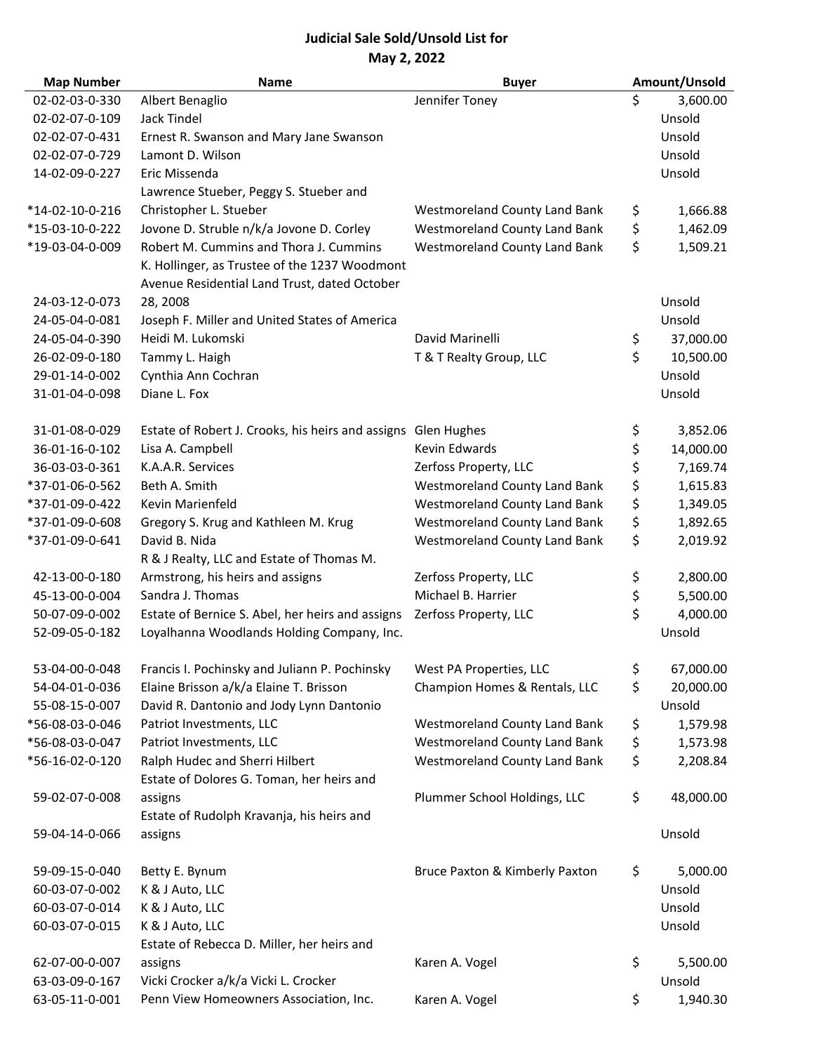## **Judicial Sale Sold/Unsold List for May 2, 2022**

| <b>Map Number</b> | <b>Name</b>                                       | <b>Buyer</b>                         | Amount/Unsold   |
|-------------------|---------------------------------------------------|--------------------------------------|-----------------|
| 02-02-03-0-330    | Albert Benaglio                                   | Jennifer Toney                       | \$<br>3,600.00  |
| 02-02-07-0-109    | Jack Tindel                                       |                                      | Unsold          |
| 02-02-07-0-431    | Ernest R. Swanson and Mary Jane Swanson           |                                      | Unsold          |
| 02-02-07-0-729    | Lamont D. Wilson                                  |                                      | Unsold          |
| 14-02-09-0-227    | Eric Missenda                                     |                                      | Unsold          |
|                   | Lawrence Stueber, Peggy S. Stueber and            |                                      |                 |
| *14-02-10-0-216   | Christopher L. Stueber                            | <b>Westmoreland County Land Bank</b> | \$<br>1,666.88  |
| *15-03-10-0-222   | Jovone D. Struble n/k/a Jovone D. Corley          | Westmoreland County Land Bank        | \$<br>1,462.09  |
| *19-03-04-0-009   | Robert M. Cummins and Thora J. Cummins            | <b>Westmoreland County Land Bank</b> | \$<br>1,509.21  |
|                   | K. Hollinger, as Trustee of the 1237 Woodmont     |                                      |                 |
|                   | Avenue Residential Land Trust, dated October      |                                      |                 |
| 24-03-12-0-073    | 28, 2008                                          |                                      | Unsold          |
| 24-05-04-0-081    | Joseph F. Miller and United States of America     |                                      | Unsold          |
| 24-05-04-0-390    | Heidi M. Lukomski                                 | David Marinelli                      | \$<br>37,000.00 |
| 26-02-09-0-180    | Tammy L. Haigh                                    | T & T Realty Group, LLC              | \$<br>10,500.00 |
| 29-01-14-0-002    | Cynthia Ann Cochran                               |                                      | Unsold          |
| 31-01-04-0-098    | Diane L. Fox                                      |                                      | Unsold          |
|                   |                                                   |                                      |                 |
| 31-01-08-0-029    | Estate of Robert J. Crooks, his heirs and assigns | <b>Glen Hughes</b>                   | \$<br>3,852.06  |
| 36-01-16-0-102    | Lisa A. Campbell                                  | Kevin Edwards                        | \$<br>14,000.00 |
| 36-03-03-0-361    | K.A.A.R. Services                                 | Zerfoss Property, LLC                | \$<br>7,169.74  |
| *37-01-06-0-562   | Beth A. Smith                                     | <b>Westmoreland County Land Bank</b> | \$<br>1,615.83  |
| *37-01-09-0-422   | Kevin Marienfeld                                  | <b>Westmoreland County Land Bank</b> | \$<br>1,349.05  |
| *37-01-09-0-608   | Gregory S. Krug and Kathleen M. Krug              | <b>Westmoreland County Land Bank</b> | \$<br>1,892.65  |
| *37-01-09-0-641   | David B. Nida                                     | Westmoreland County Land Bank        | \$<br>2,019.92  |
|                   | R & J Realty, LLC and Estate of Thomas M.         |                                      |                 |
| 42-13-00-0-180    | Armstrong, his heirs and assigns                  | Zerfoss Property, LLC                | \$<br>2,800.00  |
| 45-13-00-0-004    | Sandra J. Thomas                                  | Michael B. Harrier                   | \$<br>5,500.00  |
| 50-07-09-0-002    | Estate of Bernice S. Abel, her heirs and assigns  | Zerfoss Property, LLC                | \$<br>4,000.00  |
| 52-09-05-0-182    | Loyalhanna Woodlands Holding Company, Inc.        |                                      | Unsold          |
| 53-04-00-0-048    | Francis I. Pochinsky and Juliann P. Pochinsky     | West PA Properties, LLC              | \$<br>67,000.00 |
| 54-04-01-0-036    | Elaine Brisson a/k/a Elaine T. Brisson            | Champion Homes & Rentals, LLC        | \$<br>20,000.00 |
| 55-08-15-0-007    | David R. Dantonio and Jody Lynn Dantonio          |                                      | Unsold          |
| *56-08-03-0-046   | Patriot Investments, LLC                          | <b>Westmoreland County Land Bank</b> | \$<br>1,579.98  |
| *56-08-03-0-047   | Patriot Investments, LLC                          | <b>Westmoreland County Land Bank</b> | \$<br>1,573.98  |
| *56-16-02-0-120   | Ralph Hudec and Sherri Hilbert                    | <b>Westmoreland County Land Bank</b> | \$<br>2,208.84  |
|                   | Estate of Dolores G. Toman, her heirs and         |                                      |                 |
| 59-02-07-0-008    | assigns                                           | Plummer School Holdings, LLC         | \$<br>48,000.00 |
|                   | Estate of Rudolph Kravanja, his heirs and         |                                      |                 |
| 59-04-14-0-066    | assigns                                           |                                      | Unsold          |
| 59-09-15-0-040    | Betty E. Bynum                                    | Bruce Paxton & Kimberly Paxton       | \$<br>5,000.00  |
| 60-03-07-0-002    | K & J Auto, LLC                                   |                                      | Unsold          |
| 60-03-07-0-014    | K & J Auto, LLC                                   |                                      | Unsold          |
| 60-03-07-0-015    | K & J Auto, LLC                                   |                                      | Unsold          |
|                   | Estate of Rebecca D. Miller, her heirs and        |                                      |                 |
| 62-07-00-0-007    | assigns                                           | Karen A. Vogel                       | \$<br>5,500.00  |
| 63-03-09-0-167    | Vicki Crocker a/k/a Vicki L. Crocker              |                                      | Unsold          |
| 63-05-11-0-001    | Penn View Homeowners Association, Inc.            | Karen A. Vogel                       | \$<br>1,940.30  |